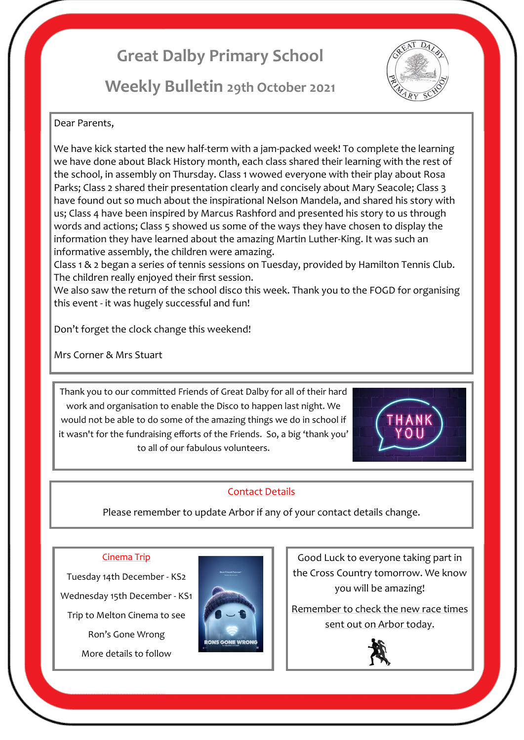# **Great Dalby Primary School**

## **Weekly Bulletin 29th October 2021**



#### Dear Parents,

We have kick started the new half-term with a jam-packed week! To complete the learning we have done about Black History month, each class shared their learning with the rest of the school, in assembly on Thursday. Class 1 wowed everyone with their play about Rosa Parks; Class 2 shared their presentation clearly and concisely about Mary Seacole; Class 3 have found out so much about the inspirational Nelson Mandela, and shared his story with us; Class 4 have been inspired by Marcus Rashford and presented his story to us through words and actions; Class 5 showed us some of the ways they have chosen to display the information they have learned about the amazing Martin Luther-King. It was such an informative assembly, the children were amazing.

Class 1 & 2 began a series of tennis sessions on Tuesday, provided by Hamilton Tennis Club. The children really enjoyed their first session.

We also saw the return of the school disco this week. Thank you to the FOGD for organising this event - it was hugely successful and fun!

Don't forget the clock change this weekend!

Mrs Corner & Mrs Stuart

Thank you to our committed Friends of Great Dalby for all of their hard work and organisation to enable the Disco to happen last night. We would not be able to do some of the amazing things we do in school if it wasn't for the fundraising efforts of the Friends. So, a big 'thank you' to all of our fabulous volunteers.



## Contact Details

Please remember to update Arbor if any of your contact details change.

#### Cinema Trip

Tuesday 14th December - KS2 Wednesday 15th December - KS1 Trip to Melton Cinema to see Ron's Gone Wrong

More details to follow



Good Luck to everyone taking part in the Cross Country tomorrow. We know you will be amazing!

Remember to check the new race times sent out on Arbor today.

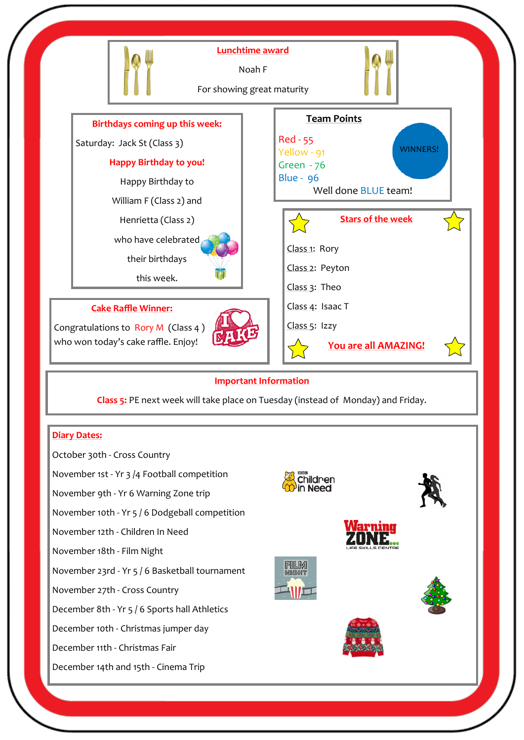

#### **Important Information**

**Class 5:** PE next week will take place on Tuesday (instead of Monday) and Friday.

#### **Diary Dates:**

October 30th - Cross Country

November 1st - Yr 3 /4 Football competition

November 9th - Yr 6 Warning Zone trip

November 10th - Yr 5 / 6 Dodgeball competition

November 12th - Children In Need

November 18th - Film Night

November 23rd - Yr 5 / 6 Basketball tournament

November 27th - Cross Country

December 8th - Yr 5 / 6 Sports hall Athletics

December 10th - Christmas jumper day

December 11th - Christmas Fair

December 14th and 15th - Cinema Trip